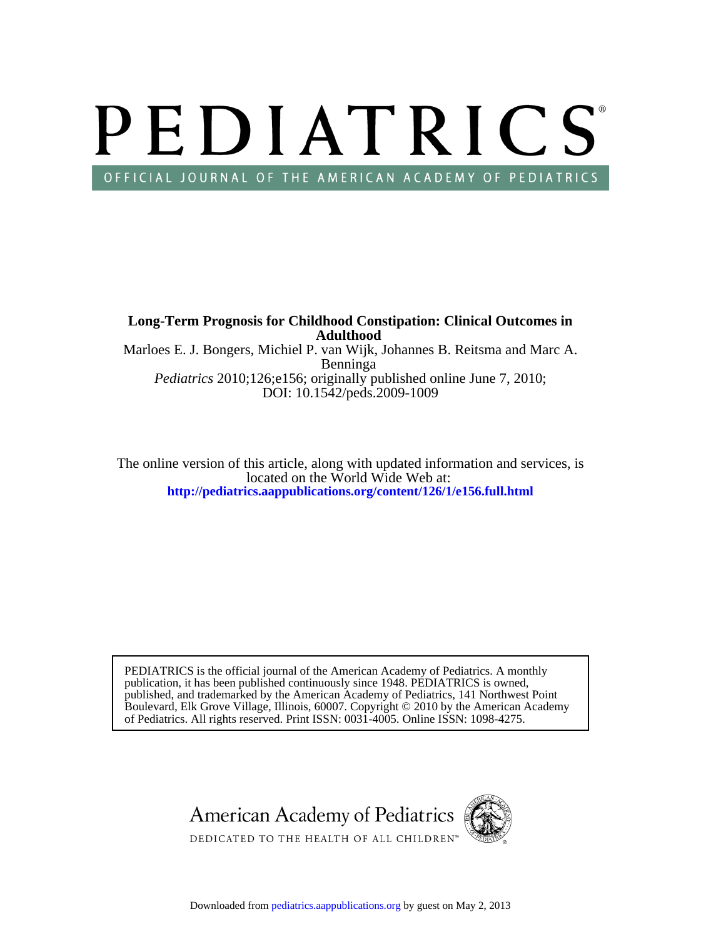# PEDIATRICS OFFICIAL JOURNAL OF THE AMERICAN ACADEMY OF PEDIATRICS

DOI: 10.1542/peds.2009-1009 *Pediatrics* 2010;126;e156; originally published online June 7, 2010; Benninga Marloes E. J. Bongers, Michiel P. van Wijk, Johannes B. Reitsma and Marc A. **Adulthood Long-Term Prognosis for Childhood Constipation: Clinical Outcomes in**

**<http://pediatrics.aappublications.org/content/126/1/e156.full.html>** located on the World Wide Web at: The online version of this article, along with updated information and services, is

of Pediatrics. All rights reserved. Print ISSN: 0031-4005. Online ISSN: 1098-4275. Boulevard, Elk Grove Village, Illinois, 60007. Copyright © 2010 by the American Academy published, and trademarked by the American Academy of Pediatrics, 141 Northwest Point publication, it has been published continuously since 1948. PEDIATRICS is owned, PEDIATRICS is the official journal of the American Academy of Pediatrics. A monthly



Downloaded from [pediatrics.aappublications.org](http://pediatrics.aappublications.org/) by guest on May 2, 2013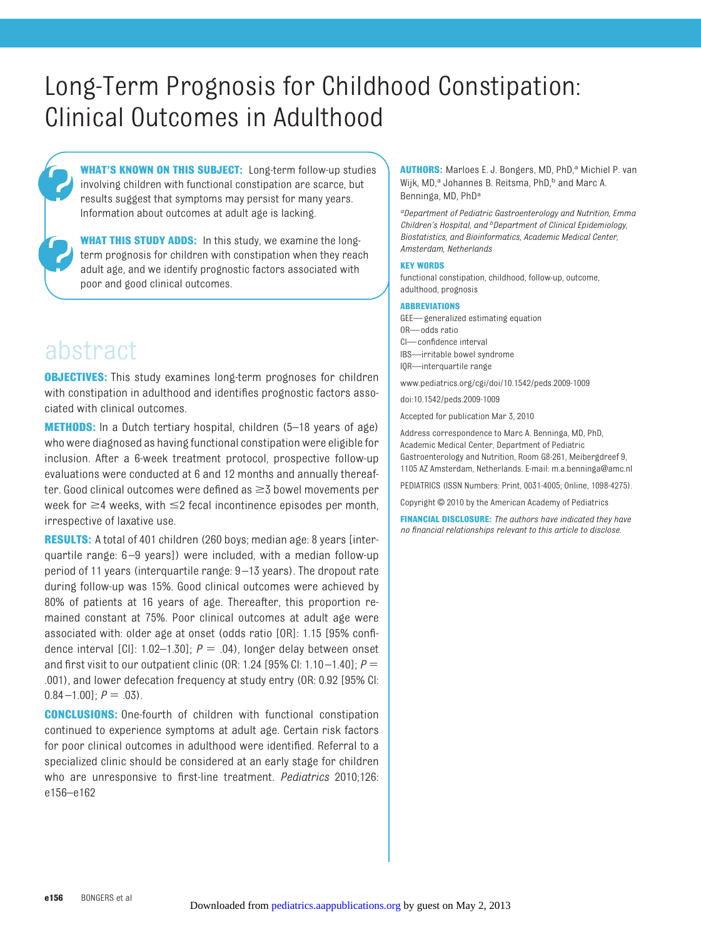# Long-Term Prognosis for Childhood Constipation: Clinical Outcomes in Adulthood

**WHAT'S KNOWN ON THIS SUBJECT:** Long-term follow-up studies involving children with functional constipation are scarce, but results suggest that symptoms may persist for many years. Information about outcomes at adult age is lacking.

**WHAT THIS STUDY ADDS:** In this study, we examine the longterm prognosis for children with constipation when they reach adult age, and we identify prognostic factors associated with poor and good clinical outcomes.

# abstract

**OBJECTIVES:** This study examines long-term prognoses for children with constipation in adulthood and identifies prognostic factors associated with clinical outcomes.

**METHODS:** In a Dutch tertiary hospital, children (5-18 years of age) who were diagnosed as having functional constipation were eligible for inclusion. After a 6-week treatment protocol, prospective follow-up evaluations were conducted at 6 and 12 months and annually thereafter. Good clinical outcomes were defined as  $\geq$  5 bowel movements per week for  $\geq$ 4 weeks, with  $\leq$ 2 fecal incontinence episodes per month, irrespective of laxative use.

**RESULTS:** A total of 401 children (260 boys; median age: 8 years [interquartile range: 6 –9 years]) were included, with a median follow-up period of 11 years (interquartile range: 9 –13 years). The dropout rate during follow-up was 15%. Good clinical outcomes were achieved by 80% of patients at 16 years of age. Thereafter, this proportion remained constant at 75%. Poor clinical outcomes at adult age were associated with: older age at onset (odds ratio [OR]: 1.15 [95% confidence interval  $[Cl]$ : 1.02-1.30];  $P = .04$ ), longer delay between onset and first visit to our outpatient clinic (OR: 1.24 [95% CI: 1.10 –1.40]; *P* .001), and lower defecation frequency at study entry (OR: 0.92 [95% CI:  $0.84 - 1.00$ ];  $P = .03$ ).

**CONCLUSIONS:** One-fourth of children with functional constipation continued to experience symptoms at adult age. Certain risk factors for poor clinical outcomes in adulthood were identified. Referral to a specialized clinic should be considered at an early stage for children who are unresponsive to first-line treatment. *Pediatrics* 2010;126: e156–e162

AUTHORS: Marloes E. J. Bongers, MD, PhD,<sup>a</sup> Michiel P. van Wijk, MD,<sup>a</sup> Johannes B. Reitsma, PhD,<sup>b</sup> and Marc A. Benninga, MD, PhD<sup>a</sup>

*aDepartment of Pediatric Gastroenterology and Nutrition, Emma Children's Hospital, and bDepartment of Clinical Epidemiology, Biostatistics, and Bioinformatics, Academic Medical Center, Amsterdam, Netherlands*

#### **KEY WORDS**

functional constipation, childhood, follow-up, outcome, adulthood, prognosis

#### **ABBREVIATIONS**

GEE— generalized estimating equation OR— odds ratio CI— confidence interval IBS—irritable bowel syndrome IQR—interquartile range

www.pediatrics.org/cgi/doi/10.1542/peds.2009-1009

doi:10.1542/peds.2009-1009

Accepted for publication Mar 3, 2010

Address correspondence to Marc A. Benninga, MD, PhD, Academic Medical Center, Department of Pediatric Gastroenterology and Nutrition, Room G8-261, Meibergdreef 9, 1105 AZ Amsterdam, Netherlands. E-mail: m.a.benninga@amc.nl

PEDIATRICS (ISSN Numbers: Print, 0031-4005; Online, 1098-4275).

Copyright © 2010 by the American Academy of Pediatrics

**FINANCIAL DISCLOSURE:** *The authors have indicated they have no financial relationships relevant to this article to disclose.*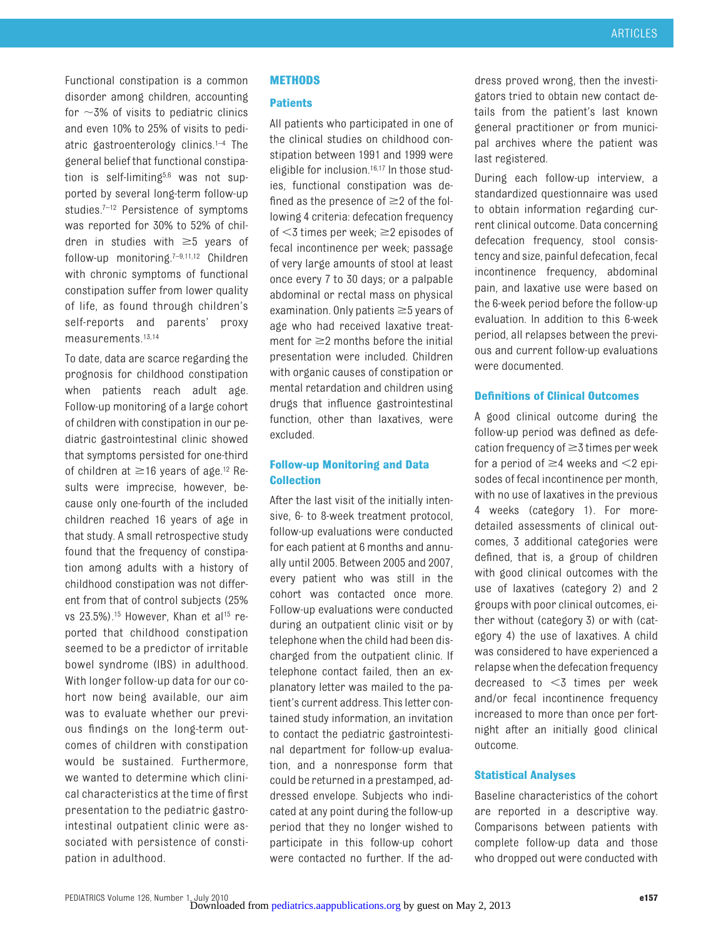Functional constipation is a common disorder among children, accounting for  $\sim$ 3% of visits to pediatric clinics and even 10% to 25% of visits to pediatric gastroenterology clinics.1–4 The general belief that functional constipation is self-limiting5,6 was not supported by several long-term follow-up studies.<sup>7-12</sup> Persistence of symptoms was reported for 30% to 52% of children in studies with  $\geq$  years of follow-up monitoring.7–9,11,12 Children with chronic symptoms of functional constipation suffer from lower quality of life, as found through children's self-reports and parents' proxy measurements.13,14

To date, data are scarce regarding the prognosis for childhood constipation when patients reach adult age. Follow-up monitoring of a large cohort of children with constipation in our pediatric gastrointestinal clinic showed that symptoms persisted for one-third of children at  $\geq$ 16 years of age.<sup>12</sup> Results were imprecise, however, because only one-fourth of the included children reached 16 years of age in that study. A small retrospective study found that the frequency of constipation among adults with a history of childhood constipation was not different from that of control subjects (25% vs 23.5%).<sup>15</sup> However, Khan et al<sup>15</sup> reported that childhood constipation seemed to be a predictor of irritable bowel syndrome (IBS) in adulthood. With longer follow-up data for our cohort now being available, our aim was to evaluate whether our previous findings on the long-term outcomes of children with constipation would be sustained. Furthermore, we wanted to determine which clinical characteristics at the time of first presentation to the pediatric gastrointestinal outpatient clinic were associated with persistence of constipation in adulthood.

# **METHODS**

#### **Patients**

All patients who participated in one of the clinical studies on childhood constipation between 1991 and 1999 were eligible for inclusion.16,17 In those studies, functional constipation was defined as the presence of  $\geq$  2 of the following 4 criteria: defecation frequency of  $<$ 3 times per week;  $\geq$ 2 episodes of fecal incontinence per week; passage of very large amounts of stool at least once every 7 to 30 days; or a palpable abdominal or rectal mass on physical examination. Only patients  $\geq$  5 years of age who had received laxative treatment for  $\geq$  months before the initial presentation were included. Children with organic causes of constipation or mental retardation and children using drugs that influence gastrointestinal function, other than laxatives, were excluded.

# **Follow-up Monitoring and Data Collection**

After the last visit of the initially intensive, 6- to 8-week treatment protocol, follow-up evaluations were conducted for each patient at 6 months and annually until 2005. Between 2005 and 2007, every patient who was still in the cohort was contacted once more. Follow-up evaluations were conducted during an outpatient clinic visit or by telephone when the child had been discharged from the outpatient clinic. If telephone contact failed, then an explanatory letter was mailed to the patient's current address. This letter contained study information, an invitation to contact the pediatric gastrointestinal department for follow-up evaluation, and a nonresponse form that could be returned in a prestamped, addressed envelope. Subjects who indicated at any point during the follow-up period that they no longer wished to participate in this follow-up cohort were contacted no further. If the address proved wrong, then the investigators tried to obtain new contact details from the patient's last known general practitioner or from municipal archives where the patient was last registered.

During each follow-up interview, a standardized questionnaire was used to obtain information regarding current clinical outcome. Data concerning defecation frequency, stool consistency and size, painful defecation, fecal incontinence frequency, abdominal pain, and laxative use were based on the 6-week period before the follow-up evaluation. In addition to this 6-week period, all relapses between the previous and current follow-up evaluations were documented.

# **Definitions of Clinical Outcomes**

A good clinical outcome during the follow-up period was defined as defecation frequency of  $\geq$  3 times per week for a period of  $\geq$ 4 weeks and  $\leq$ 2 episodes of fecal incontinence per month, with no use of laxatives in the previous 4 weeks (category 1). For moredetailed assessments of clinical outcomes, 3 additional categories were defined, that is, a group of children with good clinical outcomes with the use of laxatives (category 2) and 2 groups with poor clinical outcomes, either without (category 3) or with (category 4) the use of laxatives. A child was considered to have experienced a relapse when the defecation frequency decreased to  $<$ 3 times per week and/or fecal incontinence frequency increased to more than once per fortnight after an initially good clinical outcome.

# **Statistical Analyses**

Baseline characteristics of the cohort are reported in a descriptive way. Comparisons between patients with complete follow-up data and those who dropped out were conducted with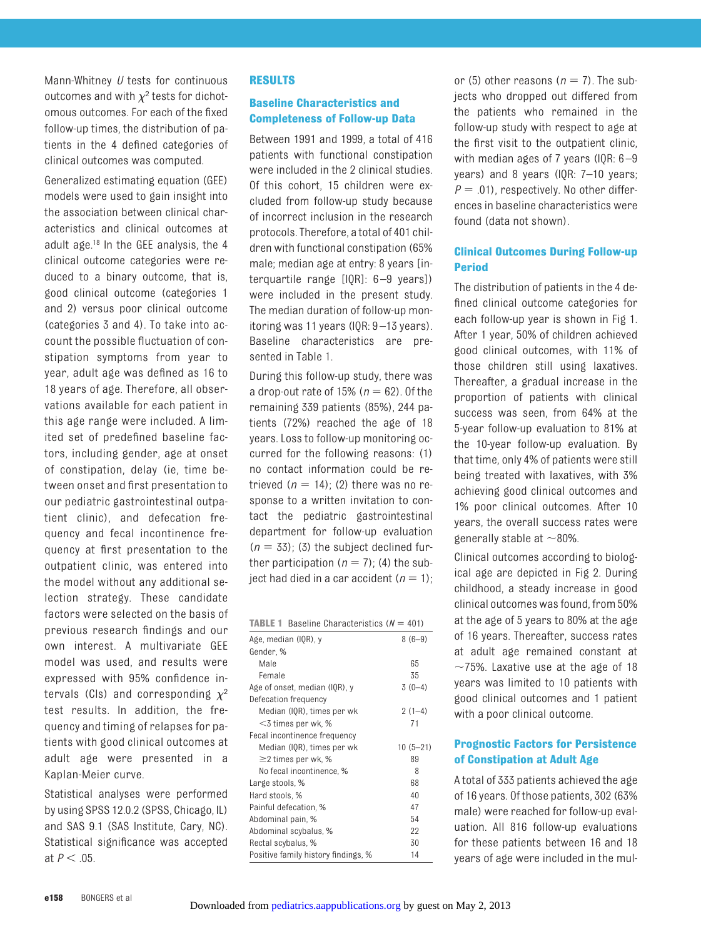Mann-Whitney *U* tests for continuous outcomes and with  $\chi^2$  tests for dichotomous outcomes. For each of the fixed follow-up times, the distribution of patients in the 4 defined categories of clinical outcomes was computed.

Generalized estimating equation (GEE) models were used to gain insight into the association between clinical characteristics and clinical outcomes at adult age.18 In the GEE analysis, the 4 clinical outcome categories were reduced to a binary outcome, that is, good clinical outcome (categories 1 and 2) versus poor clinical outcome (categories 3 and 4). To take into account the possible fluctuation of constipation symptoms from year to year, adult age was defined as 16 to 18 years of age. Therefore, all observations available for each patient in this age range were included. A limited set of predefined baseline factors, including gender, age at onset of constipation, delay (ie, time between onset and first presentation to our pediatric gastrointestinal outpatient clinic), and defecation frequency and fecal incontinence frequency at first presentation to the outpatient clinic, was entered into the model without any additional selection strategy. These candidate factors were selected on the basis of previous research findings and our own interest. A multivariate GEE model was used, and results were expressed with 95% confidence intervals (CIs) and corresponding  $x^2$ test results. In addition, the frequency and timing of relapses for patients with good clinical outcomes at adult age were presented in a Kaplan-Meier curve.

Statistical analyses were performed by using SPSS 12.0.2 (SPSS, Chicago, IL) and SAS 9.1 (SAS Institute, Cary, NC). Statistical significance was accepted at  $P < .05$ .

### **RESULTS**

# **Baseline Characteristics and Completeness of Follow-up Data**

Between 1991 and 1999, a total of 416 patients with functional constipation were included in the 2 clinical studies. Of this cohort, 15 children were excluded from follow-up study because of incorrect inclusion in the research protocols. Therefore, a total of 401 children with functional constipation (65% male; median age at entry: 8 years [interquartile range [IQR]: 6 –9 years]) were included in the present study. The median duration of follow-up monitoring was 11 years (IQR: 9 –13 years). Baseline characteristics are presented in Table 1.

During this follow-up study, there was a drop-out rate of 15% ( $n = 62$ ). Of the remaining 339 patients (85%), 244 patients (72%) reached the age of 18 years. Loss to follow-up monitoring occurred for the following reasons: (1) no contact information could be retrieved  $(n = 14)$ ; (2) there was no response to a written invitation to contact the pediatric gastrointestinal department for follow-up evaluation  $(n = 33)$ ; (3) the subject declined further participation  $(n = 7)$ ; (4) the subject had died in a car accident  $(n = 1)$ ;

| <b>TABLE 1</b> Baseline Characteristics $(N = 401)$ |            |
|-----------------------------------------------------|------------|
| Age, median (IQR), y                                | $8(6-9)$   |
| Gender, %                                           |            |
| Male                                                | 65         |
| Female                                              | 35         |
| Age of onset, median (IQR), y                       | $3(0-4)$   |
| Defecation frequency                                |            |
| Median (IQR), times per wk                          | $2(1-4)$   |
| $<$ 3 times per wk, %                               | 71         |
| Fecal incontinence frequency                        |            |
| Median (IQR), times per wk                          | $10(5-21)$ |
| $\geq$ 2 times per wk, %                            | 89         |
| No fecal incontinence, %                            | 8          |
| Large stools, %                                     | 68         |
| Hard stools, %                                      | 40         |
| Painful defecation, %                               | 47         |
| Abdominal pain, %                                   | 54         |
| Abdominal scybalus, %                               | 22         |
| Rectal scybalus, %                                  | 30         |
| Positive family history findings, %                 | 14         |

or (5) other reasons  $(n = 7)$ . The subjects who dropped out differed from the patients who remained in the follow-up study with respect to age at the first visit to the outpatient clinic, with median ages of 7 years (IQR: 6-9) years) and 8 years (IQR: 7–10 years;  $P = .01$ ), respectively. No other differences in baseline characteristics were found (data not shown).

# **Clinical Outcomes During Follow-up Period**

The distribution of patients in the 4 defined clinical outcome categories for each follow-up year is shown in Fig 1. After 1 year, 50% of children achieved good clinical outcomes, with 11% of those children still using laxatives. Thereafter, a gradual increase in the proportion of patients with clinical success was seen, from 64% at the 5-year follow-up evaluation to 81% at the 10-year follow-up evaluation. By that time, only 4% of patients were still being treated with laxatives, with 3% achieving good clinical outcomes and 1% poor clinical outcomes. After 10 years, the overall success rates were generally stable at  $\sim$ 80%.

Clinical outcomes according to biological age are depicted in Fig 2. During childhood, a steady increase in good clinical outcomes was found, from 50% at the age of 5 years to 80% at the age of 16 years. Thereafter, success rates at adult age remained constant at  $\sim$ 75%. Laxative use at the age of 18 years was limited to 10 patients with good clinical outcomes and 1 patient with a poor clinical outcome.

# **Prognostic Factors for Persistence of Constipation at Adult Age**

A total of 333 patients achieved the age of 16 years. Of those patients, 302 (63% male) were reached for follow-up evaluation. All 816 follow-up evaluations for these patients between 16 and 18 years of age were included in the mul-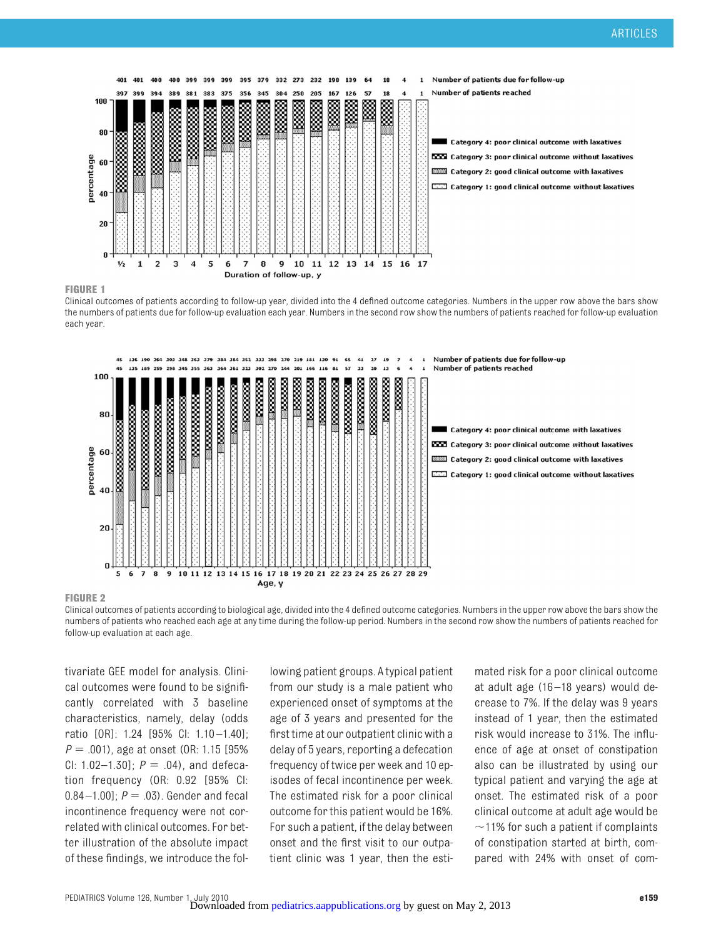

**FIGURE 1**

Clinical outcomes of patients according to follow-up year, divided into the 4 defined outcome categories. Numbers in the upper row above the bars show the numbers of patients due for follow-up evaluation each year. Numbers in the second row show the numbers of patients reached for follow-up evaluation each year.



#### **FIGURE 2**

Clinical outcomes of patients according to biological age, divided into the 4 defined outcome categories. Numbers in the upper row above the bars show the numbers of patients who reached each age at any time during the follow-up period. Numbers in the second row show the numbers of patients reached for follow-up evaluation at each age.

tivariate GEE model for analysis. Clinical outcomes were found to be significantly correlated with 3 baseline characteristics, namely, delay (odds ratio [OR]: 1.24 [95% CI: 1.10 –1.40];  $P = .001$ ), age at onset (OR: 1.15 [95% CI:  $1.02-1.30$ :  $P = .04$ ), and defecation frequency (OR: 0.92 [95% CI:  $0.84 - 1.00$ ];  $P = .03$ ). Gender and fecal incontinence frequency were not correlated with clinical outcomes. For better illustration of the absolute impact of these findings, we introduce the following patient groups. A typical patient from our study is a male patient who experienced onset of symptoms at the age of 3 years and presented for the first time at our outpatient clinic with a delay of 5 years, reporting a defecation frequency of twice per week and 10 episodes of fecal incontinence per week. The estimated risk for a poor clinical outcome for this patient would be 16%. For such a patient, if the delay between onset and the first visit to our outpatient clinic was 1 year, then the estimated risk for a poor clinical outcome at adult age (16 –18 years) would decrease to 7%. If the delay was 9 years instead of 1 year, then the estimated risk would increase to 31%. The influence of age at onset of constipation also can be illustrated by using our typical patient and varying the age at onset. The estimated risk of a poor clinical outcome at adult age would be  $\sim$  11% for such a patient if complaints of constipation started at birth, compared with 24% with onset of com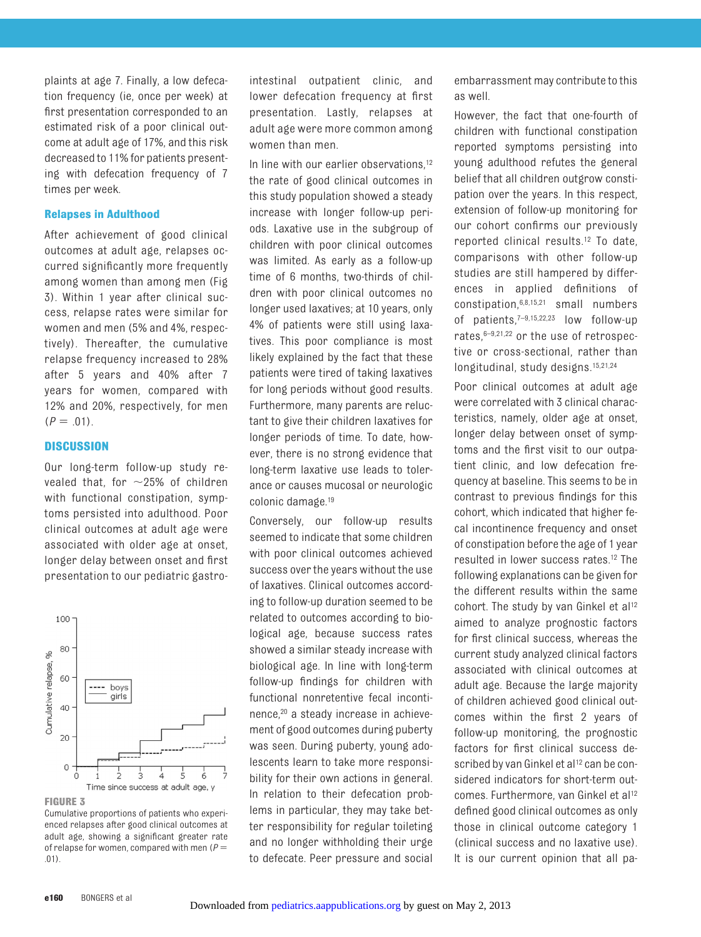plaints at age 7. Finally, a low defecation frequency (ie, once per week) at first presentation corresponded to an estimated risk of a poor clinical outcome at adult age of 17%, and this risk decreased to 11% for patients presenting with defecation frequency of 7 times per week.

#### **Relapses in Adulthood**

After achievement of good clinical outcomes at adult age, relapses occurred significantly more frequently among women than among men (Fig 3). Within 1 year after clinical success, relapse rates were similar for women and men (5% and 4%, respectively). Thereafter, the cumulative relapse frequency increased to 28% after 5 years and 40% after 7 years for women, compared with 12% and 20%, respectively, for men  $(P = .01)$ .

#### **DISCUSSION**

Our long-term follow-up study revealed that, for  $\sim$ 25% of children with functional constipation, symptoms persisted into adulthood. Poor clinical outcomes at adult age were associated with older age at onset, longer delay between onset and first presentation to our pediatric gastro-



#### **FIGURE 3**

Cumulative proportions of patients who experienced relapses after good clinical outcomes at adult age, showing a significant greater rate of relapse for women, compared with men (*P* .01).

intestinal outpatient clinic, and lower defecation frequency at first presentation. Lastly, relapses at adult age were more common among women than men.

In line with our earlier observations,<sup>12</sup> the rate of good clinical outcomes in this study population showed a steady increase with longer follow-up periods. Laxative use in the subgroup of children with poor clinical outcomes was limited. As early as a follow-up time of 6 months, two-thirds of children with poor clinical outcomes no longer used laxatives; at 10 years, only 4% of patients were still using laxatives. This poor compliance is most likely explained by the fact that these patients were tired of taking laxatives for long periods without good results. Furthermore, many parents are reluctant to give their children laxatives for longer periods of time. To date, however, there is no strong evidence that long-term laxative use leads to tolerance or causes mucosal or neurologic colonic damage.19

Conversely, our follow-up results seemed to indicate that some children with poor clinical outcomes achieved success over the years without the use of laxatives. Clinical outcomes according to follow-up duration seemed to be related to outcomes according to biological age, because success rates showed a similar steady increase with biological age. In line with long-term follow-up findings for children with functional nonretentive fecal incontinence,20 a steady increase in achievement of good outcomes during puberty was seen. During puberty, young adolescents learn to take more responsibility for their own actions in general. In relation to their defecation problems in particular, they may take better responsibility for regular toileting and no longer withholding their urge to defecate. Peer pressure and social

embarrassment may contribute to this as well.

However, the fact that one-fourth of children with functional constipation reported symptoms persisting into young adulthood refutes the general belief that all children outgrow constipation over the years. In this respect, extension of follow-up monitoring for our cohort confirms our previously reported clinical results.12 To date, comparisons with other follow-up studies are still hampered by differences in applied definitions of constipation,6,8,15,21 small numbers of patients,7–9,15,22,23 low follow-up rates, 6-9,21,22 or the use of retrospective or cross-sectional, rather than longitudinal, study designs.15,21,24

Poor clinical outcomes at adult age were correlated with 3 clinical characteristics, namely, older age at onset, longer delay between onset of symptoms and the first visit to our outpatient clinic, and low defecation frequency at baseline. This seems to be in contrast to previous findings for this cohort, which indicated that higher fecal incontinence frequency and onset of constipation before the age of 1 year resulted in lower success rates.12 The following explanations can be given for the different results within the same cohort. The study by van Ginkel et al<sup>12</sup> aimed to analyze prognostic factors for first clinical success, whereas the current study analyzed clinical factors associated with clinical outcomes at adult age. Because the large majority of children achieved good clinical outcomes within the first 2 years of follow-up monitoring, the prognostic factors for first clinical success described by van Ginkel et al<sup>12</sup> can be considered indicators for short-term outcomes. Furthermore, van Ginkel et al<sup>12</sup> defined good clinical outcomes as only those in clinical outcome category 1 (clinical success and no laxative use). It is our current opinion that all pa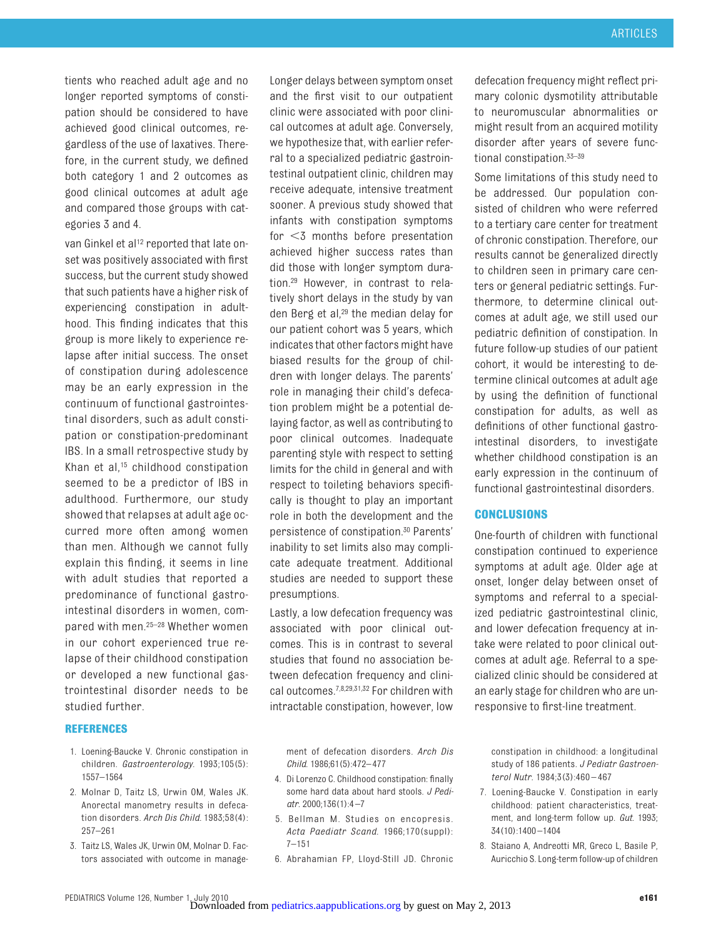tients who reached adult age and no longer reported symptoms of constipation should be considered to have achieved good clinical outcomes, regardless of the use of laxatives. Therefore, in the current study, we defined both category 1 and 2 outcomes as good clinical outcomes at adult age and compared those groups with categories 3 and 4.

van Ginkel et al<sup>12</sup> reported that late onset was positively associated with first success, but the current study showed that such patients have a higher risk of experiencing constipation in adulthood. This finding indicates that this group is more likely to experience relapse after initial success. The onset of constipation during adolescence may be an early expression in the continuum of functional gastrointestinal disorders, such as adult constipation or constipation-predominant IBS. In a small retrospective study by Khan et al,15 childhood constipation seemed to be a predictor of IBS in adulthood. Furthermore, our study showed that relapses at adult age occurred more often among women than men. Although we cannot fully explain this finding, it seems in line with adult studies that reported a predominance of functional gastrointestinal disorders in women, compared with men.25–28 Whether women in our cohort experienced true relapse of their childhood constipation or developed a new functional gastrointestinal disorder needs to be studied further.

#### **REFERENCES**

- 1. Loening-Baucke V. Chronic constipation in children. *Gastroenterology.* 1993;105(5): 1557–1564
- 2. Molnar D, Taitz LS, Urwin OM, Wales JK. Anorectal manometry results in defecation disorders. *Arch Dis Child.* 1983;58(4): 257–261
- 3. Taitz LS, Wales JK, Urwin OM, Molnar D. Factors associated with outcome in manage-

Longer delays between symptom onset and the first visit to our outpatient clinic were associated with poor clinical outcomes at adult age. Conversely, we hypothesize that, with earlier referral to a specialized pediatric gastrointestinal outpatient clinic, children may receive adequate, intensive treatment sooner. A previous study showed that infants with constipation symptoms for  $<$ 3 months before presentation achieved higher success rates than did those with longer symptom duration.29 However, in contrast to relatively short delays in the study by van den Berg et al,29 the median delay for our patient cohort was 5 years, which indicates that other factors might have biased results for the group of children with longer delays. The parents' role in managing their child's defecation problem might be a potential delaying factor, as well as contributing to poor clinical outcomes. Inadequate parenting style with respect to setting limits for the child in general and with respect to toileting behaviors specifically is thought to play an important role in both the development and the persistence of constipation.30 Parents' inability to set limits also may complicate adequate treatment. Additional studies are needed to support these presumptions.

Lastly, a low defecation frequency was associated with poor clinical outcomes. This is in contrast to several studies that found no association between defecation frequency and clinical outcomes.7,8,29,31,32 For children with intractable constipation, however, low

ment of defecation disorders. *Arch Dis Child.* 1986;61(5):472– 477

- 4. Di Lorenzo C. Childhood constipation: finally some hard data about hard stools. *J Pediatr.* 2000;136(1):4 –7
- 5. Bellman M. Studies on encopresis. *Acta Paediatr Scand.* 1966;170(suppl): 7–151
- 6. Abrahamian FP, Lloyd-Still JD. Chronic

defecation frequency might reflect primary colonic dysmotility attributable to neuromuscular abnormalities or might result from an acquired motility disorder after years of severe functional constipation.<sup>33-39</sup>

Some limitations of this study need to be addressed. Our population consisted of children who were referred to a tertiary care center for treatment of chronic constipation. Therefore, our results cannot be generalized directly to children seen in primary care centers or general pediatric settings. Furthermore, to determine clinical outcomes at adult age, we still used our pediatric definition of constipation. In future follow-up studies of our patient cohort, it would be interesting to determine clinical outcomes at adult age by using the definition of functional constipation for adults, as well as definitions of other functional gastrointestinal disorders, to investigate whether childhood constipation is an early expression in the continuum of functional gastrointestinal disorders.

#### **CONCLUSIONS**

One-fourth of children with functional constipation continued to experience symptoms at adult age. Older age at onset, longer delay between onset of symptoms and referral to a specialized pediatric gastrointestinal clinic, and lower defecation frequency at intake were related to poor clinical outcomes at adult age. Referral to a specialized clinic should be considered at an early stage for children who are unresponsive to first-line treatment.

constipation in childhood: a longitudinal study of 186 patients. *J Pediatr Gastroenterol Nutr.* 1984;3(3):460 – 467

- 7. Loening-Baucke V. Constipation in early childhood: patient characteristics, treatment, and long-term follow up. *Gut.* 1993; 34(10):1400 –1404
- 8. Staiano A, Andreotti MR, Greco L, Basile P, Auricchio S. Long-term follow-up of children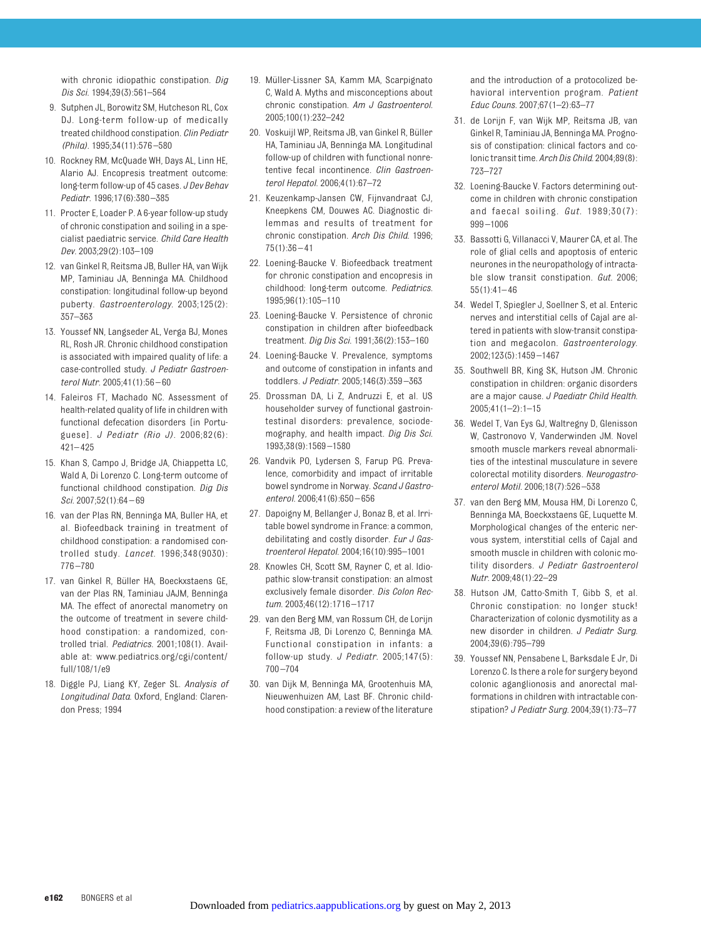with chronic idiopathic constipation. *Dig Dis Sci.* 1994;39(3):561–564

- 9. Sutphen JL, Borowitz SM, Hutcheson RL, Cox DJ. Long-term follow-up of medically treated childhood constipation. *Clin Pediatr (Phila).* 1995;34(11):576 –580
- 10. Rockney RM, McQuade WH, Days AL, Linn HE, Alario AJ. Encopresis treatment outcome: long-term follow-up of 45 cases. *J Dev Behav Pediatr.* 1996;17(6):380 –385
- 11. Procter E, Loader P. A 6-year follow-up study of chronic constipation and soiling in a specialist paediatric service. *Child Care Health Dev.* 2003;29(2):103–109
- 12. van Ginkel R, Reitsma JB, Buller HA, van Wijk MP, Taminiau JA, Benninga MA. Childhood constipation: longitudinal follow-up beyond puberty. *Gastroenterology.* 2003;125(2): 357–363
- 13. Youssef NN, Langseder AL, Verga BJ, Mones RL, Rosh JR. Chronic childhood constipation is associated with impaired quality of life: a case-controlled study. *J Pediatr Gastroenterol Nutr.* 2005;41(1):56 – 60
- 14. Faleiros FT, Machado NC. Assessment of health-related quality of life in children with functional defecation disorders [in Portuguese]. *J Pediatr (Rio J).* 2006;82(6): 421– 425
- 15. Khan S, Campo J, Bridge JA, Chiappetta LC, Wald A, Di Lorenzo C. Long-term outcome of functional childhood constipation. *Dig Dis Sci.* 2007;52(1):64 – 69
- 16. van der Plas RN, Benninga MA, Buller HA, et al. Biofeedback training in treatment of childhood constipation: a randomised controlled study. *Lancet.* 1996;348(9030): 776 –780
- 17. van Ginkel R, Büller HA, Boeckxstaens GE, van der Plas RN, Taminiau JAJM, Benninga MA. The effect of anorectal manometry on the outcome of treatment in severe childhood constipation: a randomized, controlled trial. *Pediatrics.* 2001;108(1). Available at: www.pediatrics.org/cgi/content/ full/108/1/e9
- 18. Diggle PJ, Liang KY, Zeger SL. *Analysis of Longitudinal Data*. Oxford, England: Clarendon Press; 1994
- 19. Müller-Lissner SA, Kamm MA, Scarpignato C, Wald A. Myths and misconceptions about chronic constipation. *Am J Gastroenterol.* 2005;100(1):232–242
- 20. Voskuijl WP, Reitsma JB, van Ginkel R, Büller HA, Taminiau JA, Benninga MA. Longitudinal follow-up of children with functional nonretentive fecal incontinence. *Clin Gastroenterol Hepatol.* 2006;4(1):67–72
- 21. Keuzenkamp-Jansen CW, Fijnvandraat CJ, Kneepkens CM, Douwes AC. Diagnostic dilemmas and results of treatment for chronic constipation. *Arch Dis Child.* 1996; 75(1):36 – 41
- 22. Loening-Baucke V. Biofeedback treatment for chronic constipation and encopresis in childhood: long-term outcome. *Pediatrics.* 1995;96(1):105–110
- 23. Loening-Baucke V. Persistence of chronic constipation in children after biofeedback treatment. *Dig Dis Sci.* 1991;36(2):153–160
- 24. Loening-Baucke V. Prevalence, symptoms and outcome of constipation in infants and toddlers. *J Pediatr.* 2005;146(3):359 –363
- 25. Drossman DA, Li Z, Andruzzi E, et al. US householder survey of functional gastrointestinal disorders: prevalence, sociodemography, and health impact. *Dig Dis Sci.* 1993;38(9):1569 –1580
- 26. Vandvik PO, Lydersen S, Farup PG. Prevalence, comorbidity and impact of irritable bowel syndrome in Norway. *Scand J Gastroenterol.* 2006;41(6):650 – 656
- 27. Dapoigny M, Bellanger J, Bonaz B, et al. Irritable bowel syndrome in France: a common, debilitating and costly disorder. *Eur J Gastroenterol Hepatol.* 2004;16(10):995–1001
- 28. Knowles CH, Scott SM, Rayner C, et al. Idiopathic slow-transit constipation: an almost exclusively female disorder. *Dis Colon Rectum.* 2003;46(12):1716 –1717
- 29. van den Berg MM, van Rossum CH, de Lorijn F, Reitsma JB, Di Lorenzo C, Benninga MA. Functional constipation in infants: a follow-up study. *J Pediatr.* 2005;147(5): 700 –704
- 30. van Dijk M, Benninga MA, Grootenhuis MA, Nieuwenhuizen AM, Last BF. Chronic childhood constipation: a review of the literature

and the introduction of a protocolized behavioral intervention program. *Patient Educ Couns.* 2007;67(1–2):63–77

- 31. de Lorijn F, van Wijk MP, Reitsma JB, van Ginkel R, Taminiau JA, Benninga MA. Prognosis of constipation: clinical factors and colonic transit time. *Arch Dis Child.* 2004;89(8): 723–727
- 32. Loening-Baucke V. Factors determining outcome in children with chronic constipation and faecal soiling. *Gut.* 1989;30(7): 999 –1006
- 33. Bassotti G, Villanacci V, Maurer CA, et al. The role of glial cells and apoptosis of enteric neurones in the neuropathology of intractable slow transit constipation. *Gut.* 2006;  $55(1):41-46$
- 34. Wedel T, Spiegler J, Soellner S, et al. Enteric nerves and interstitial cells of Cajal are altered in patients with slow-transit constipation and megacolon. *Gastroenterology.* 2002;123(5):1459 –1467
- 35. Southwell BR, King SK, Hutson JM. Chronic constipation in children: organic disorders are a major cause. *J Paediatr Child Health.* 2005;41(1–2):1–15
- 36. Wedel T, Van Eys GJ, Waltregny D, Glenisson W, Castronovo V, Vanderwinden JM. Novel smooth muscle markers reveal abnormalities of the intestinal musculature in severe colorectal motility disorders. *Neurogastroenterol Motil.* 2006;18(7):526 –538
- 37. van den Berg MM, Mousa HM, Di Lorenzo C, Benninga MA, Boeckxstaens GE, Luquette M. Morphological changes of the enteric nervous system, interstitial cells of Cajal and smooth muscle in children with colonic motility disorders. *J Pediatr Gastroenterol Nutr.* 2009;48(1):22–29
- 38. Hutson JM, Catto-Smith T, Gibb S, et al. Chronic constipation: no longer stuck! Characterization of colonic dysmotility as a new disorder in children. *J Pediatr Surg.* 2004;39(6):795–799
- 39. Youssef NN, Pensabene L, Barksdale E Jr, Di Lorenzo C. Is there a role for surgery beyond colonic aganglionosis and anorectal malformations in children with intractable constipation? *J Pediatr Surg.* 2004;39(1):73–77